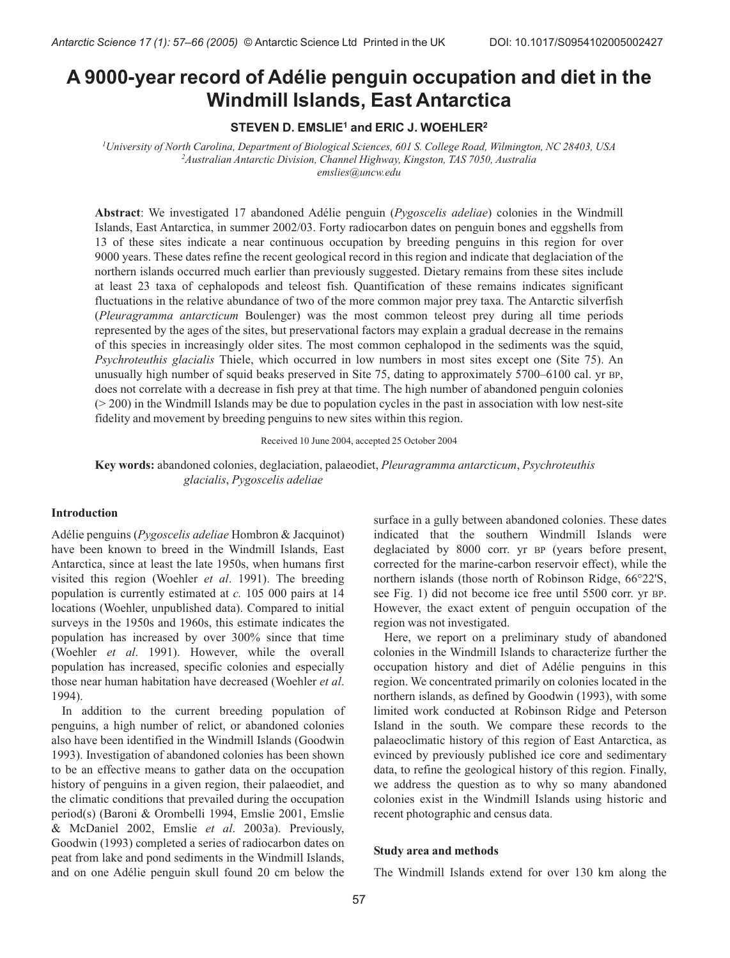# **A 9000-year record of Adélie penguin occupation and diet in the Windmill Islands, East Antarctica**

**STEVEN D. EMSLIE1 and ERIC J. WOEHLER2**

*1 University of North Carolina, Department of Biological Sciences, 601 S. College Road, Wilmington, NC 28403, USA 2 Australian Antarctic Division, Channel Highway, Kingston, TAS 7050, Australia emslies@uncw.edu*

**Abstract**: We investigated 17 abandoned Adélie penguin (*Pygoscelis adeliae*) colonies in the Windmill Islands, East Antarctica, in summer 2002/03. Forty radiocarbon dates on penguin bones and eggshells from 13 of these sites indicate a near continuous occupation by breeding penguins in this region for over 9000 years. These dates refine the recent geological record in this region and indicate that deglaciation of the northern islands occurred much earlier than previously suggested. Dietary remains from these sites include at least 23 taxa of cephalopods and teleost fish. Quantification of these remains indicates significant fluctuations in the relative abundance of two of the more common major prey taxa. The Antarctic silverfish (*Pleuragramma antarcticum* Boulenger) was the most common teleost prey during all time periods represented by the ages of the sites, but preservational factors may explain a gradual decrease in the remains of this species in increasingly older sites. The most common cephalopod in the sediments was the squid, *Psychroteuthis glacialis* Thiele, which occurred in low numbers in most sites except one (Site 75). An unusually high number of squid beaks preserved in Site 75, dating to approximately 5700–6100 cal. yr BP, does not correlate with a decrease in fish prey at that time. The high number of abandoned penguin colonies (> 200) in the Windmill Islands may be due to population cycles in the past in association with low nest-site fidelity and movement by breeding penguins to new sites within this region.

Received 10 June 2004, accepted 25 October 2004

**Key words:** abandoned colonies, deglaciation, palaeodiet, *Pleuragramma antarcticum*, *Psychroteuthis glacialis*, *Pygoscelis adeliae*

# **Introduction**

Adélie penguins (*Pygoscelis adeliae* Hombron & Jacquinot) have been known to breed in the Windmill Islands, East Antarctica, since at least the late 1950s, when humans first visited this region (Woehler *et al*. 1991). The breeding population is currently estimated at *c.* 105 000 pairs at 14 locations (Woehler, unpublished data). Compared to initial surveys in the 1950s and 1960s, this estimate indicates the population has increased by over 300% since that time (Woehler *et al*. 1991). However, while the overall population has increased, specific colonies and especially those near human habitation have decreased (Woehler *et al*. 1994).

In addition to the current breeding population of penguins, a high number of relict, or abandoned colonies also have been identified in the Windmill Islands (Goodwin 1993). Investigation of abandoned colonies has been shown to be an effective means to gather data on the occupation history of penguins in a given region, their palaeodiet, and the climatic conditions that prevailed during the occupation period(s) (Baroni & Orombelli 1994, Emslie 2001, Emslie & McDaniel 2002, Emslie *et al*. 2003a). Previously, Goodwin (1993) completed a series of radiocarbon dates on peat from lake and pond sediments in the Windmill Islands, and on one Adélie penguin skull found 20 cm below the

surface in a gully between abandoned colonies. These dates indicated that the southern Windmill Islands were deglaciated by 8000 corr. yr BP (years before present, corrected for the marine-carbon reservoir effect), while the northern islands (those north of Robinson Ridge, 66°22'S, see Fig. 1) did not become ice free until 5500 corr. yr BP. However, the exact extent of penguin occupation of the region was not investigated.

Here, we report on a preliminary study of abandoned colonies in the Windmill Islands to characterize further the occupation history and diet of Adélie penguins in this region. We concentrated primarily on colonies located in the northern islands, as defined by Goodwin (1993), with some limited work conducted at Robinson Ridge and Peterson Island in the south. We compare these records to the palaeoclimatic history of this region of East Antarctica, as evinced by previously published ice core and sedimentary data, to refine the geological history of this region. Finally, we address the question as to why so many abandoned colonies exist in the Windmill Islands using historic and recent photographic and census data.

#### **Study area and methods**

The Windmill Islands extend for over 130 km along the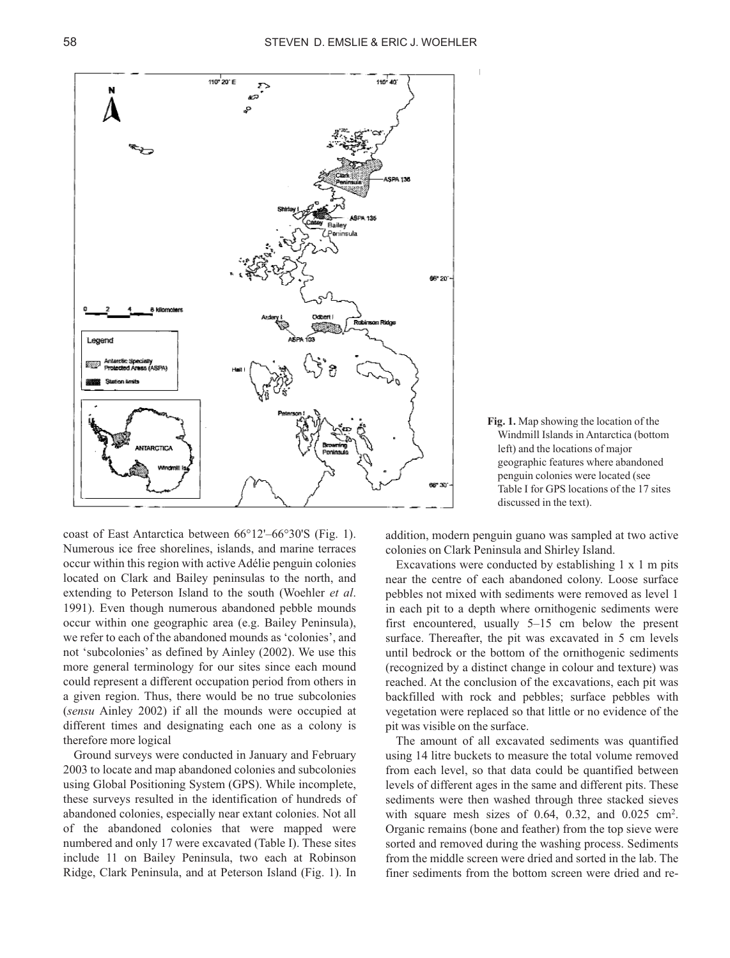

coast of East Antarctica between 66°12'–66°30'S (Fig. 1). Numerous ice free shorelines, islands, and marine terraces occur within this region with active Adélie penguin colonies located on Clark and Bailey peninsulas to the north, and extending to Peterson Island to the south (Woehler *et al*. 1991). Even though numerous abandoned pebble mounds occur within one geographic area (e.g. Bailey Peninsula), we refer to each of the abandoned mounds as 'colonies', and not 'subcolonies' as defined by Ainley (2002). We use this more general terminology for our sites since each mound could represent a different occupation period from others in a given region. Thus, there would be no true subcolonies (*sensu* Ainley 2002) if all the mounds were occupied at different times and designating each one as a colony is therefore more logical

Ground surveys were conducted in January and February 2003 to locate and map abandoned colonies and subcolonies using Global Positioning System (GPS). While incomplete, these surveys resulted in the identification of hundreds of abandoned colonies, especially near extant colonies. Not all of the abandoned colonies that were mapped were numbered and only 17 were excavated (Table I). These sites include 11 on Bailey Peninsula, two each at Robinson Ridge, Clark Peninsula, and at Peterson Island (Fig. 1). In

**Fig. 1.** Map showing the location of the Windmill Islands in Antarctica (bottom left) and the locations of major geographic features where abandoned penguin colonies were located (see Table I for GPS locations of the 17 sites discussed in the text).

addition, modern penguin guano was sampled at two active colonies on Clark Peninsula and Shirley Island.

Excavations were conducted by establishing 1 x 1 m pits near the centre of each abandoned colony. Loose surface pebbles not mixed with sediments were removed as level 1 in each pit to a depth where ornithogenic sediments were first encountered, usually 5–15 cm below the present surface. Thereafter, the pit was excavated in 5 cm levels until bedrock or the bottom of the ornithogenic sediments (recognized by a distinct change in colour and texture) was reached. At the conclusion of the excavations, each pit was backfilled with rock and pebbles; surface pebbles with vegetation were replaced so that little or no evidence of the pit was visible on the surface.

The amount of all excavated sediments was quantified using 14 litre buckets to measure the total volume removed from each level, so that data could be quantified between levels of different ages in the same and different pits. These sediments were then washed through three stacked sieves with square mesh sizes of  $0.64$ ,  $0.32$ , and  $0.025$  cm<sup>2</sup>. Organic remains (bone and feather) from the top sieve were sorted and removed during the washing process. Sediments from the middle screen were dried and sorted in the lab. The finer sediments from the bottom screen were dried and re-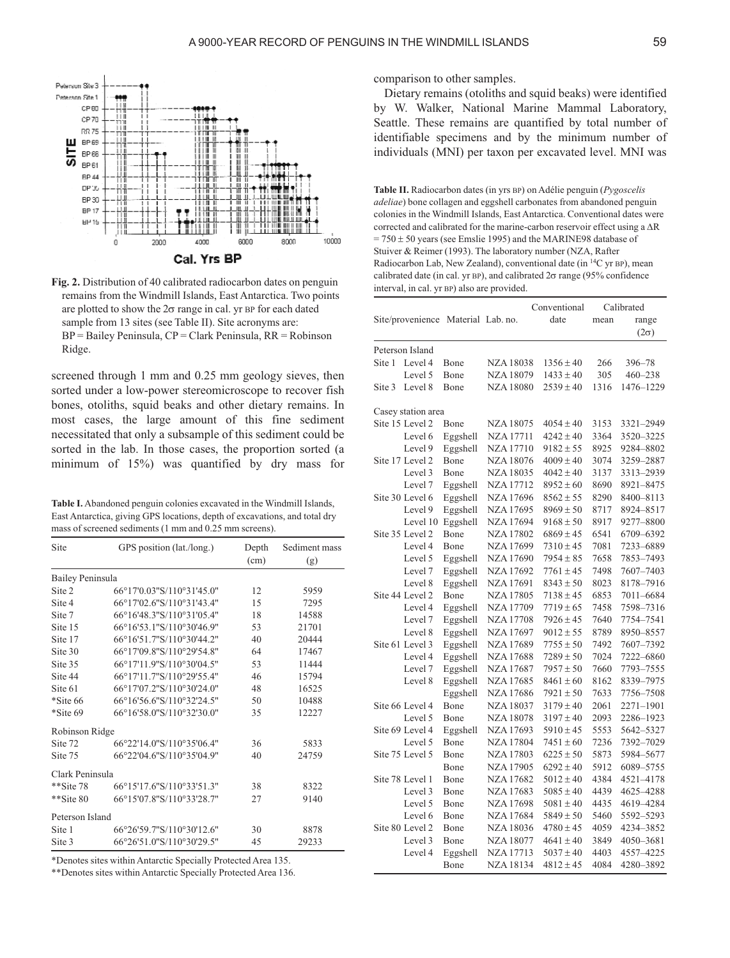

**Fig. 2.** Distribution of 40 calibrated radiocarbon dates on penguin remains from the Windmill Islands, East Antarctica. Two points are plotted to show the  $2\sigma$  range in cal. yr BP for each dated sample from 13 sites (see Table II). Site acronyms are: BP = Bailey Peninsula, CP = Clark Peninsula, RR = Robinson Ridge.

screened through 1 mm and 0.25 mm geology sieves, then sorted under a low-power stereomicroscope to recover fish bones, otoliths, squid beaks and other dietary remains. In most cases, the large amount of this fine sediment necessitated that only a subsample of this sediment could be sorted in the lab. In those cases, the proportion sorted (a minimum of 15%) was quantified by dry mass for

**Table I.** Abandoned penguin colonies excavated in the Windmill Islands, East Antarctica, giving GPS locations, depth of excavations, and total dry mass of screened sediments (1 mm and 0.25 mm screens).

| Site             | GPS position (lat./long.) | Depth<br>(cm) | Sediment mass<br>(g) |  |  |  |  |  |  |
|------------------|---------------------------|---------------|----------------------|--|--|--|--|--|--|
| Bailey Peninsula |                           |               |                      |  |  |  |  |  |  |
| Site 2           | 66°17'0.03"S/110°31'45.0" | 12            | 5959                 |  |  |  |  |  |  |
| Site 4           | 66°17'02.6"S/110°31'43.4" | 15            | 7295                 |  |  |  |  |  |  |
| Site 7           | 66°16'48.3"S/110°31'05.4" | 18            | 14588                |  |  |  |  |  |  |
| Site 15          | 66°16'53.1"S/110°30'46.9" | 53            | 21701                |  |  |  |  |  |  |
| Site 17          | 66°16'51.7"S/110°30'44.2" | 40            | 20444                |  |  |  |  |  |  |
| Site 30          | 66°17'09.8"S/110°29'54.8" | 64            | 17467                |  |  |  |  |  |  |
| Site 35          | 66°17'11.9"S/110°30'04.5" | 53            | 11444                |  |  |  |  |  |  |
| Site 44          | 66°17'11.7"S/110°29'55.4" | 46            | 15794                |  |  |  |  |  |  |
| Site 61          | 66°17'07.2"S/110°30'24.0" | 48            | 16525                |  |  |  |  |  |  |
| *Site 66         | 66°16'56.6"S/110°32'24.5" | 50            | 10488                |  |  |  |  |  |  |
| *Site 69         | 66°16'58.0"S/110°32'30.0" | 35            | 12227                |  |  |  |  |  |  |
| Robinson Ridge   |                           |               |                      |  |  |  |  |  |  |
| Site 72          | 66°22'14.0"S/110°35'06.4" | 36            | 5833                 |  |  |  |  |  |  |
| Site 75          | 66°22'04.6"S/110°35'04.9" | 40            | 24759                |  |  |  |  |  |  |
| Clark Peninsula  |                           |               |                      |  |  |  |  |  |  |
| **Site 78        | 66°15'17.6"S/110°33'51.3" | 38            | 8322                 |  |  |  |  |  |  |
| **Site 80        | 66°15'07.8"S/110°33'28.7" | 27            | 9140                 |  |  |  |  |  |  |
| Peterson Island  |                           |               |                      |  |  |  |  |  |  |
| Site 1           | 66°26'59.7"S/110°30'12.6" | 30            | 8878                 |  |  |  |  |  |  |
| Site 3           | 66°26'51.0"S/110°30'29.5" | 45            | 29233                |  |  |  |  |  |  |

\*Denotes sites within Antarctic Specially Protected Area 135.

\*\*Denotes sites within Antarctic Specially Protected Area 136.

comparison to other samples.

Dietary remains (otoliths and squid beaks) were identified by W. Walker, National Marine Mammal Laboratory, Seattle. These remains are quantified by total number of identifiable specimens and by the minimum number of individuals (MNI) per taxon per excavated level. MNI was

**Table II.** Radiocarbon dates (in yrs BP) on Adélie penguin (*Pygoscelis adeliae*) bone collagen and eggshell carbonates from abandoned penguin colonies in the Windmill Islands, East Antarctica. Conventional dates were corrected and calibrated for the marine-carbon reservoir effect using a ∆R  $= 750 \pm 50$  years (see Emslie 1995) and the MARINE98 database of Stuiver & Reimer (1993). The laboratory number (NZA, Rafter Radiocarbon Lab, New Zealand), conventional date (in <sup>14</sup>C yr BP), mean calibrated date (in cal. yr BP), and calibrated  $2\sigma$  range (95% confidence interval, in cal. yr BP) also are provided.

| Site/provenience Material Lab. no. |                            |                  |                              | Conventional                   |              | Calibrated             |  |  |  |
|------------------------------------|----------------------------|------------------|------------------------------|--------------------------------|--------------|------------------------|--|--|--|
|                                    |                            |                  |                              | date                           | mean         | range<br>$(2\sigma)$   |  |  |  |
| Peterson Island                    |                            |                  |                              |                                |              |                        |  |  |  |
| Site 1                             | Level 4                    | Bone             | NZA 18038                    | $1356 \pm 40$                  | 266          | 396-78                 |  |  |  |
|                                    | Level 5                    | Bone             | <b>NZA18079</b>              | $1433 \pm 40$                  | 305          | 460-238                |  |  |  |
| Site 3                             | Level 8                    | Bone             | NZA 18080                    | $2539 \pm 40$                  | 1316         | 1476-1229              |  |  |  |
|                                    | Casey station area         |                  |                              |                                |              |                        |  |  |  |
|                                    | Site 15 Level 2            | Bone             | <b>NZA18075</b>              | $4054 \pm 40$                  | 3153         | 3321-2949              |  |  |  |
|                                    | Level 6                    | Eggshell         | NZA 17711                    | $4242 \pm 40$                  | 3364         | 3520-3225              |  |  |  |
|                                    | Level 9                    | Eggshell         | NZA 17710                    | $9182 \pm 55$                  | 8925         | 9284-8802              |  |  |  |
|                                    | Site 17 Level 2            | Bone             | <b>NZA18076</b>              | $4009 \pm 40$                  | 3074         | 3259-2887              |  |  |  |
|                                    | Level 3                    | Bone             | <b>NZA18035</b>              | $4042 \pm 40$                  | 3137         | 3313-2939              |  |  |  |
|                                    | Level 7                    | Eggshell         | <b>NZA 17712</b>             | $8952 \pm 60$                  | 8690         | 8921-8475              |  |  |  |
|                                    | Site 30 Level 6            | Eggshell         | <b>NZA 17696</b>             | $8562 \pm 55$                  | 8290         | 8400-8113              |  |  |  |
|                                    | Level 9                    | Eggshell         | <b>NZA17695</b>              | $8969 \pm 50$                  | 8717         | 8924-8517              |  |  |  |
|                                    | Level 10                   | Eggshell         | <b>NZA17694</b>              | $9168 \pm 50$                  | 8917         | 9277-8800              |  |  |  |
|                                    | Site 35 Level 2            | Bone             | <b>NZA17802</b>              | $6869 \pm 45$                  | 6541         | 6709-6392              |  |  |  |
|                                    | Level 4                    | Bone             | <b>NZA17699</b>              | $7310 \pm 45$                  | 7081         | 7233-6889              |  |  |  |
|                                    | Level 5                    | Eggshell         | <b>NZA17690</b>              | $7954 \pm 85$                  | 7658         | 7853-7493              |  |  |  |
|                                    | Level 7                    | Eggshell         | NZA 17692                    | $7761 \pm 45$                  | 7498         | 7607-7403              |  |  |  |
|                                    | Level 8                    | Eggshell         | <b>NZA17691</b>              | $8343 \pm 50$                  | 8023         | 8178-7916              |  |  |  |
|                                    | Site 44 Level 2            | Bone             | <b>NZA17805</b>              | $7138 \pm 45$                  | 6853         | 7011-6684              |  |  |  |
|                                    | Level 4                    | Eggshell         | <b>NZA17709</b>              | $7719 \pm 65$                  | 7458         | 7598-7316              |  |  |  |
|                                    | Level 7                    | Eggshell         | NZA 17708                    | $7926 \pm 45$                  | 7640         | 7754-7541              |  |  |  |
|                                    | Level 8                    | Eggshell         | <b>NZA17697</b>              | $9012 \pm 55$                  | 8789         | 8950-8557              |  |  |  |
|                                    | Site 61 Level 3            | Eggshell         | NZA 17689                    | $7755 \pm 50$                  | 7492         | 7607-7392              |  |  |  |
|                                    | Level 4                    | Eggshell         | <b>NZA17688</b>              | $7289 \pm 50$                  | 7024         | 7222-6860              |  |  |  |
|                                    | Level 7                    | Eggshell         | <b>NZA17687</b>              | $7957 \pm 50$                  | 7660         | 7793-7555              |  |  |  |
|                                    | Level 8                    | Eggshell         | <b>NZA 17685</b>             | $8461 \pm 60$                  | 8162         | 8339-7975              |  |  |  |
|                                    |                            | Eggshell         | NZA 17686                    | $7921 \pm 50$                  | 7633         | 7756-7508              |  |  |  |
|                                    | Site 66 Level 4            | Bone             | <b>NZA18037</b>              | $3179 \pm 40$                  | 2061         | 2271-1901              |  |  |  |
|                                    | Level 5<br>Site 69 Level 4 | Bone<br>Eggshell | <b>NZA18078</b><br>NZA 17693 | $3197 \pm 40$<br>$5910 \pm 45$ | 2093<br>5553 | 2286-1923<br>5642-5327 |  |  |  |
|                                    | Level 5                    | Bone             | NZA 17804                    | $7451 \pm 60$                  | 7236         | 7392-7029              |  |  |  |
|                                    | Site 75 Level 5            | Bone             | <b>NZA17803</b>              | $6225 \pm 50$                  | 5873         | 5984-5677              |  |  |  |
|                                    |                            | Bone             | NZA 17905                    | $6292 \pm 40$                  | 5912         | 6089-5755              |  |  |  |
|                                    | Site 78 Level 1            | Bone             | <b>NZA17682</b>              | $5012 \pm 40$                  | 4384         | 4521-4178              |  |  |  |
|                                    | Level 3                    | Bone             | NZA 17683                    | $5085 \pm 40$                  | 4439         | 4625-4288              |  |  |  |
|                                    | Level 5                    | Bone             | NZA 17698                    | $5081 \pm 40$                  | 4435         | 4619-4284              |  |  |  |
|                                    | Level 6                    | Bone             | NZA 17684                    | $5849 \pm 50$                  | 5460         | 5592-5293              |  |  |  |
|                                    | Site 80 Level 2            | Bone             | <b>NZA18036</b>              | $4780 \pm 45$                  | 4059         | 4234-3852              |  |  |  |
|                                    | Level 3                    | Bone             | <b>NZA18077</b>              | $4641 \pm 40$                  | 3849         | 4050-3681              |  |  |  |
|                                    | Level 4                    | Eggshell         | <b>NZA 17713</b>             | $5037 \pm 40$                  | 4403         | 4557-4225              |  |  |  |
|                                    |                            | Bone             | <b>NZA18134</b>              | $4812 \pm 45$                  | 4084         | 4280-3892              |  |  |  |
|                                    |                            |                  |                              |                                |              |                        |  |  |  |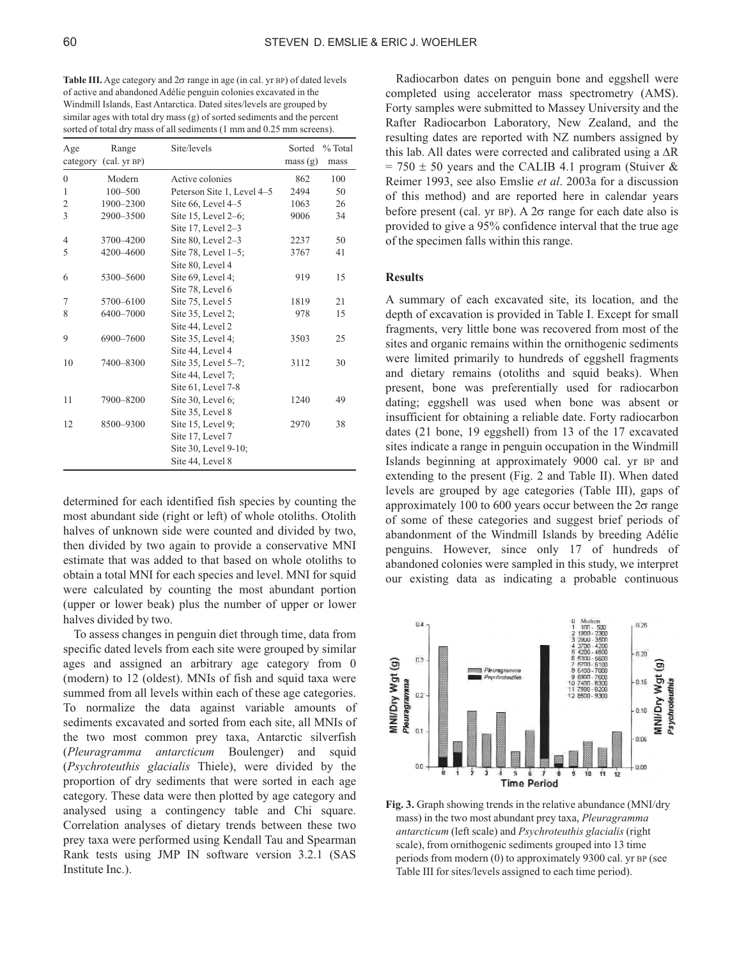**Table III.** Age category and 2σ range in age (in cal. yr BP) of dated levels of active and abandoned Adélie penguin colonies excavated in the Windmill Islands, East Antarctica. Dated sites/levels are grouped by similar ages with total dry mass (g) of sorted sediments and the percent sorted of total dry mass of all sediments (1 mm and 0.25 mm screens).

| Age<br>category | Range<br>(cal. yr BP) | Site/levels                | Sorted<br>mass(g) | % Total<br>mass |
|-----------------|-----------------------|----------------------------|-------------------|-----------------|
| $\theta$        | Modern                | Active colonies            | 862               | 100             |
| 1               | $100 - 500$           | Peterson Site 1, Level 4–5 | 2494              | 50              |
| 2               | 1900-2300             | Site 66, Level 4-5         | 1063              | 26              |
| 3               | 2900-3500             | Site 15, Level 2-6;        | 9006              | 34              |
|                 |                       | Site 17, Level 2-3         |                   |                 |
| $\overline{4}$  | 3700-4200             | Site 80, Level $2-3$       | 2237              | 50              |
| 5               | 4200-4600             | Site 78, Level 1-5;        | 3767              | 41              |
|                 |                       | Site 80, Level 4           |                   |                 |
| 6               | 5300-5600             | Site 69, Level 4;          | 919               | 15              |
|                 |                       | Site 78, Level 6           |                   |                 |
| 7               | 5700-6100             | Site 75, Level 5           | 1819              | 21              |
| 8               | 6400-7000             | Site 35, Level 2;          | 978               | 15              |
|                 |                       | Site 44, Level 2           |                   |                 |
| 9               | 6900-7600             | Site 35, Level 4;          | 3503              | 25              |
|                 |                       | Site 44, Level 4           |                   |                 |
| 10              | 7400-8300             | Site 35, Level 5-7;        | 3112              | 30              |
|                 |                       | Site 44, Level 7;          |                   |                 |
|                 |                       | Site 61, Level 7-8         |                   |                 |
| 11              | 7900-8200             | Site 30, Level 6;          | 1240              | 49              |
|                 |                       | Site 35, Level 8           |                   |                 |
| 12              | 8500-9300             | Site 15, Level 9;          | 2970              | 38              |
|                 |                       | Site 17, Level 7           |                   |                 |
|                 |                       | Site 30, Level 9-10;       |                   |                 |
|                 |                       | Site 44, Level 8           |                   |                 |

determined for each identified fish species by counting the most abundant side (right or left) of whole otoliths. Otolith halves of unknown side were counted and divided by two, then divided by two again to provide a conservative MNI estimate that was added to that based on whole otoliths to obtain a total MNI for each species and level. MNI for squid were calculated by counting the most abundant portion (upper or lower beak) plus the number of upper or lower halves divided by two.

To assess changes in penguin diet through time, data from specific dated levels from each site were grouped by similar ages and assigned an arbitrary age category from 0 (modern) to 12 (oldest). MNIs of fish and squid taxa were summed from all levels within each of these age categories. To normalize the data against variable amounts of sediments excavated and sorted from each site, all MNIs of the two most common prey taxa, Antarctic silverfish (*Pleuragramma antarcticum* Boulenger) and squid (*Psychroteuthis glacialis* Thiele), were divided by the proportion of dry sediments that were sorted in each age category. These data were then plotted by age category and analysed using a contingency table and Chi square. Correlation analyses of dietary trends between these two prey taxa were performed using Kendall Tau and Spearman Rank tests using JMP IN software version 3.2.1 (SAS Institute Inc.).

Radiocarbon dates on penguin bone and eggshell were completed using accelerator mass spectrometry (AMS). Forty samples were submitted to Massey University and the Rafter Radiocarbon Laboratory, New Zealand, and the resulting dates are reported with NZ numbers assigned by this lab. All dates were corrected and calibrated using a ∆R  $= 750 \pm 50$  years and the CALIB 4.1 program (Stuiver & Reimer 1993, see also Emslie *et al*. 2003a for a discussion of this method) and are reported here in calendar years before present (cal. yr  $BP$ ). A  $2\sigma$  range for each date also is provided to give a 95% confidence interval that the true age of the specimen falls within this range.

#### **Results**

A summary of each excavated site, its location, and the depth of excavation is provided in Table I. Except for small fragments, very little bone was recovered from most of the sites and organic remains within the ornithogenic sediments were limited primarily to hundreds of eggshell fragments and dietary remains (otoliths and squid beaks). When present, bone was preferentially used for radiocarbon dating; eggshell was used when bone was absent or insufficient for obtaining a reliable date. Forty radiocarbon dates (21 bone, 19 eggshell) from 13 of the 17 excavated sites indicate a range in penguin occupation in the Windmill Islands beginning at approximately 9000 cal. yr BP and extending to the present (Fig. 2 and Table II). When dated levels are grouped by age categories (Table III), gaps of approximately 100 to 600 years occur between the 2σ range of some of these categories and suggest brief periods of abandonment of the Windmill Islands by breeding Adélie penguins. However, since only 17 of hundreds of abandoned colonies were sampled in this study, we interpret our existing data as indicating a probable continuous



**Fig. 3.** Graph showing trends in the relative abundance (MNI/dry mass) in the two most abundant prey taxa, *Pleuragramma antarcticum* (left scale) and *Psychroteuthis glacialis* (right scale), from ornithogenic sediments grouped into 13 time periods from modern (0) to approximately 9300 cal. yr BP (see Table III for sites/levels assigned to each time period).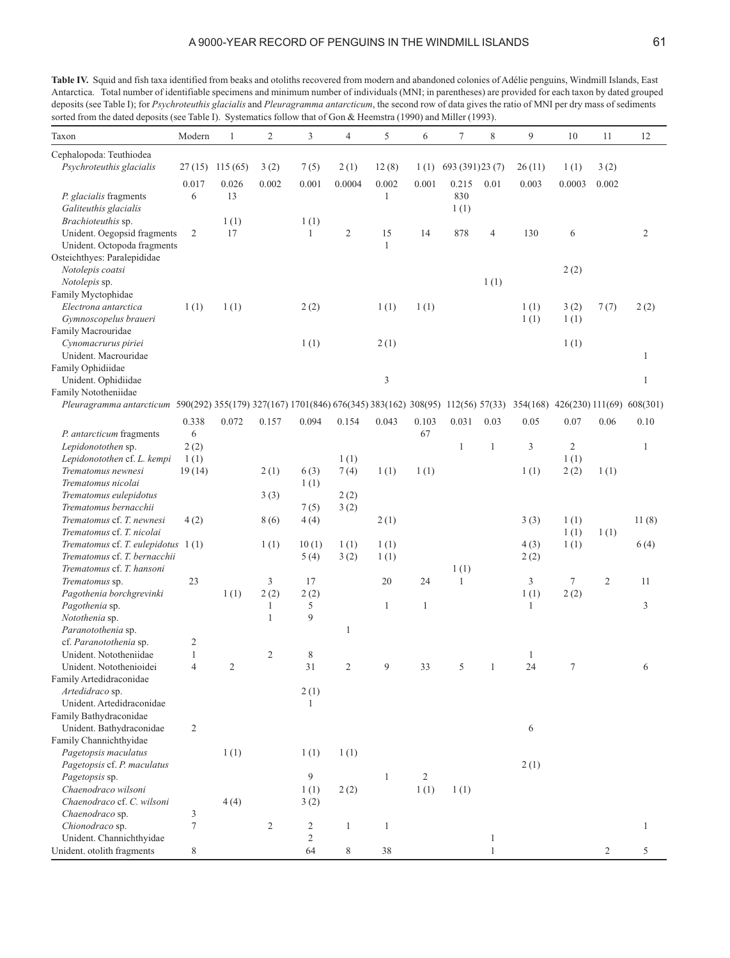**Table IV.** Squid and fish taxa identified from beaks and otoliths recovered from modern and abandoned colonies of Adélie penguins, Windmill Islands, East Antarctica. Total number of identifiable specimens and minimum number of individuals (MNI; in parentheses) are provided for each taxon by dated grouped deposits (see Table I); for *Psychroteuthis glacialis* and *Pleuragramma antarcticum*, the second row of data gives the ratio of MNI per dry mass of sediments sorted from the dated deposits (see Table I). Systematics follow that of Gon & Heemstra (1990) and Miller (1993).

| Taxon                                                                                                                                     | Modern         | $\mathbf{1}$ | $\overline{c}$ | 3                              | $\overline{4}$ | 5            | 6              | $\tau$           | 8                            | 9            | 10             | 11             | 12    |
|-------------------------------------------------------------------------------------------------------------------------------------------|----------------|--------------|----------------|--------------------------------|----------------|--------------|----------------|------------------|------------------------------|--------------|----------------|----------------|-------|
| Cephalopoda: Teuthiodea                                                                                                                   |                |              |                |                                |                |              |                |                  |                              |              |                |                |       |
| Psychroteuthis glacialis                                                                                                                  | 27(15)         | 115(65)      | 3(2)           | 7(5)                           | 2(1)           | 12(8)        | 1(1)           | 693 (391) 23 (7) |                              | 26(11)       | 1(1)           | 3(2)           |       |
|                                                                                                                                           | 0.017          | 0.026        | 0.002          | 0.001                          | 0.0004         | 0.002        | 0.001          | 0.215            | 0.01                         | 0.003        | 0.0003         | 0.002          |       |
| P. glacialis fragments                                                                                                                    | 6              | 13           |                |                                |                | 1            |                | 830              |                              |              |                |                |       |
| Galiteuthis glacialis                                                                                                                     |                |              |                |                                |                |              |                | 1(1)             |                              |              |                |                |       |
| Brachioteuthis sp.                                                                                                                        |                | 1(1)         |                | 1(1)                           |                |              |                |                  |                              |              |                |                |       |
| Unident. Oegopsid fragments                                                                                                               | $\overline{c}$ | 17           |                | 1                              | $\sqrt{2}$     | 15           | 14             | 878              | 4                            | 130          | 6              |                | 2     |
| Unident. Octopoda fragments                                                                                                               |                |              |                |                                |                | $\mathbf{1}$ |                |                  |                              |              |                |                |       |
| Osteichthyes: Paralepididae                                                                                                               |                |              |                |                                |                |              |                |                  |                              |              |                |                |       |
| Notolepis coatsi                                                                                                                          |                |              |                |                                |                |              |                |                  |                              |              | 2(2)           |                |       |
| Notolepis sp.                                                                                                                             |                |              |                |                                |                |              |                |                  | 1(1)                         |              |                |                |       |
| Family Myctophidae<br>Electrona antarctica                                                                                                |                |              |                |                                |                |              |                |                  |                              |              |                |                |       |
| Gymnoscopelus braueri                                                                                                                     | 1(1)           | 1(1)         |                | 2(2)                           |                | 1(1)         | 1(1)           |                  |                              | 1(1)         | 3(2)<br>1(1)   | 7(7)           | 2(2)  |
| Family Macrouridae                                                                                                                        |                |              |                |                                |                |              |                |                  |                              | 1(1)         |                |                |       |
| Cynomacrurus piriei                                                                                                                       |                |              |                | 1(1)                           |                | 2(1)         |                |                  |                              |              | 1(1)           |                |       |
| Unident. Macrouridae                                                                                                                      |                |              |                |                                |                |              |                |                  |                              |              |                |                | 1     |
| Family Ophidiidae                                                                                                                         |                |              |                |                                |                |              |                |                  |                              |              |                |                |       |
| Unident. Ophidiidae                                                                                                                       |                |              |                |                                |                | 3            |                |                  |                              |              |                |                | 1     |
| Family Nototheniidae                                                                                                                      |                |              |                |                                |                |              |                |                  |                              |              |                |                |       |
| Pleuragramma antarcticum 590(292) 355(179) 327(167) 1701(846) 676(345) 383(162) 308(95) 112(56) 57(33) 354(168) 426(230) 111(69) 608(301) |                |              |                |                                |                |              |                |                  |                              |              |                |                |       |
|                                                                                                                                           | 0.338          | 0.072        | 0.157          | 0.094                          | 0.154          | 0.043        | 0.103          | 0.031            | 0.03                         | 0.05         | 0.07           | 0.06           | 0.10  |
| P. antarcticum fragments                                                                                                                  | 6              |              |                |                                |                |              | 67             |                  |                              |              |                |                |       |
| Lepidonotothen sp.                                                                                                                        | 2(2)           |              |                |                                |                |              |                | $\mathbf{1}$     | $\mathbf{1}$                 | 3            | $\mathfrak{2}$ |                | 1     |
| Lepidonotothen cf. L. kempi                                                                                                               | 1(1)           |              |                |                                | 1(1)           |              |                |                  |                              |              | 1(1)           |                |       |
| Trematomus newnesi                                                                                                                        | 19(14)         |              | 2(1)           | 6(3)                           | 7(4)           | 1(1)         | 1(1)           |                  |                              | 1(1)         | 2(2)           | 1(1)           |       |
| Trematomus nicolai                                                                                                                        |                |              |                | 1(1)                           |                |              |                |                  |                              |              |                |                |       |
| Trematomus eulepidotus                                                                                                                    |                |              | 3(3)           |                                | 2(2)           |              |                |                  |                              |              |                |                |       |
| Trematomus bernacchii<br>Trematomus cf. T. newnesi                                                                                        |                |              |                | 7(5)                           | 3(2)           |              |                |                  |                              |              |                |                |       |
| Trematomus cf. T. nicolai                                                                                                                 | 4(2)           |              | 8(6)           | 4(4)                           |                | 2(1)         |                |                  |                              | 3(3)         | 1(1)<br>1(1)   | 1(1)           | 11(8) |
| Trematomus cf. T. eulepidotus 1(1)                                                                                                        |                |              | 1(1)           | 10(1)                          | 1(1)           | 1(1)         |                |                  |                              | 4(3)         | 1(1)           |                | 6(4)  |
| Trematomus cf. T. bernacchii                                                                                                              |                |              |                | 5(4)                           | 3(2)           | 1(1)         |                |                  |                              | 2(2)         |                |                |       |
| Trematomus cf. T. hansoni                                                                                                                 |                |              |                |                                |                |              |                | 1(1)             |                              |              |                |                |       |
| Trematomus sp.                                                                                                                            | 23             |              | 3              | 17                             |                | 20           | 24             | $\mathbf{1}$     |                              | 3            | 7              | $\mathfrak{2}$ | 11    |
| Pagothenia borchgrevinki                                                                                                                  |                | 1(1)         | 2(2)           | 2(2)                           |                |              |                |                  |                              | 1(1)         | 2(2)           |                |       |
| Pagothenia sp.                                                                                                                            |                |              | 1              | 5                              |                | $\mathbf{1}$ | 1              |                  |                              | $\mathbf{1}$ |                |                | 3     |
| Notothenia sp.                                                                                                                            |                |              | $\mathbf{1}$   | 9                              |                |              |                |                  |                              |              |                |                |       |
| Paranotothenia sp.                                                                                                                        |                |              |                |                                | $\mathbf{1}$   |              |                |                  |                              |              |                |                |       |
| cf. Paranotothenia sp.                                                                                                                    | $\mathfrak{2}$ |              |                |                                |                |              |                |                  |                              |              |                |                |       |
| Unident. Nototheniidae                                                                                                                    | $\mathbf{1}$   |              | $\overline{c}$ | 8                              |                |              |                |                  |                              | 1            |                |                |       |
| Unident. Notothenioidei                                                                                                                   | $\overline{4}$ | $\sqrt{2}$   |                | 31                             | $\mathfrak{2}$ | 9            | 33             | 5                | $\mathbf{1}$                 | 24           | $\tau$         |                | 6     |
| Family Artedidraconidae<br>Artedidraco sp.                                                                                                |                |              |                | 2(1)                           |                |              |                |                  |                              |              |                |                |       |
| Unident. Artedidraconidae                                                                                                                 |                |              |                | 1                              |                |              |                |                  |                              |              |                |                |       |
| Family Bathydraconidae                                                                                                                    |                |              |                |                                |                |              |                |                  |                              |              |                |                |       |
| Unident. Bathydraconidae                                                                                                                  | $\overline{c}$ |              |                |                                |                |              |                |                  |                              | 6            |                |                |       |
| Family Channichthyidae                                                                                                                    |                |              |                |                                |                |              |                |                  |                              |              |                |                |       |
| Pagetopsis maculatus                                                                                                                      |                | 1(1)         |                | 1(1)                           | 1(1)           |              |                |                  |                              |              |                |                |       |
| Pagetopsis cf. P. maculatus                                                                                                               |                |              |                |                                |                |              |                |                  |                              | 2(1)         |                |                |       |
| Pagetopsis sp.                                                                                                                            |                |              |                | 9                              |                | $\mathbf{1}$ | $\overline{c}$ |                  |                              |              |                |                |       |
| Chaenodraco wilsoni                                                                                                                       |                |              |                | 1(1)                           | 2(2)           |              | 1(1)           | 1(1)             |                              |              |                |                |       |
| Chaenodraco cf. C. wilsoni                                                                                                                |                | 4(4)         |                | 3(2)                           |                |              |                |                  |                              |              |                |                |       |
| Chaenodraco sp.                                                                                                                           | 3              |              |                |                                |                |              |                |                  |                              |              |                |                |       |
| Chionodraco sp.<br>Unident. Channichthyidae                                                                                               | $\tau$         |              | $\overline{2}$ | $\overline{c}$<br>$\mathbf{2}$ | $\mathbf{1}$   | $\mathbf{1}$ |                |                  |                              |              |                |                | 1     |
| Unident. otolith fragments                                                                                                                | 8              |              |                | 64                             | $8\,$          | 38           |                |                  | $\mathbf{1}$<br>$\mathbf{1}$ |              |                | $\overline{2}$ | 5     |
|                                                                                                                                           |                |              |                |                                |                |              |                |                  |                              |              |                |                |       |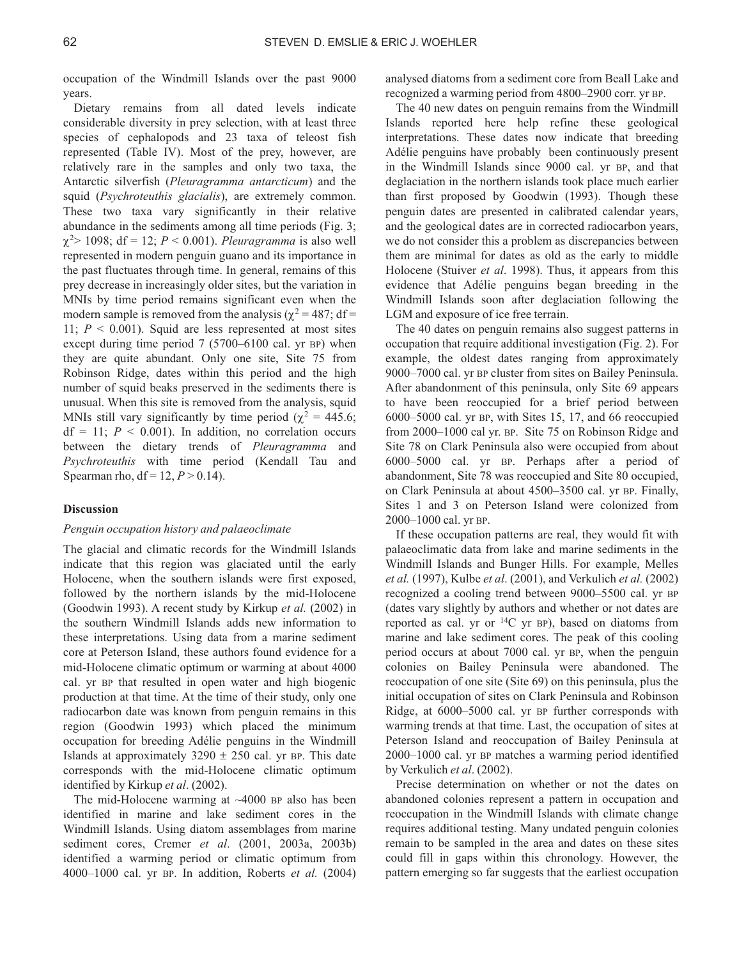occupation of the Windmill Islands over the past 9000 years.

Dietary remains from all dated levels indicate considerable diversity in prey selection, with at least three species of cephalopods and 23 taxa of teleost fish represented (Table IV). Most of the prey, however, are relatively rare in the samples and only two taxa, the Antarctic silverfish (*Pleuragramma antarcticum*) and the squid (*Psychroteuthis glacialis*), are extremely common. These two taxa vary significantly in their relative abundance in the sediments among all time periods (Fig. 3;  $\chi^2$  = 1098; df = 12; *P* < 0.001). *Pleuragramma* is also well represented in modern penguin guano and its importance in the past fluctuates through time. In general, remains of this prey decrease in increasingly older sites, but the variation in MNIs by time period remains significant even when the modern sample is removed from the analysis ( $\chi^2$  = 487; df = 11;  $P \le 0.001$ ). Squid are less represented at most sites except during time period 7 (5700–6100 cal. yr BP) when they are quite abundant. Only one site, Site 75 from Robinson Ridge, dates within this period and the high number of squid beaks preserved in the sediments there is unusual. When this site is removed from the analysis, squid MNIs still vary significantly by time period ( $\chi^2$  = 445.6;  $df = 11$ ;  $P < 0.001$ ). In addition, no correlation occurs between the dietary trends of *Pleuragramma* and *Psychroteuthis* with time period (Kendall Tau and Spearman rho, df =  $12, P > 0.14$ .

# **Discussion**

#### *Penguin occupation history and palaeoclimate*

The glacial and climatic records for the Windmill Islands indicate that this region was glaciated until the early Holocene, when the southern islands were first exposed, followed by the northern islands by the mid-Holocene (Goodwin 1993). A recent study by Kirkup *et al.* (2002) in the southern Windmill Islands adds new information to these interpretations. Using data from a marine sediment core at Peterson Island, these authors found evidence for a mid-Holocene climatic optimum or warming at about 4000 cal. yr BP that resulted in open water and high biogenic production at that time. At the time of their study, only one radiocarbon date was known from penguin remains in this region (Goodwin 1993) which placed the minimum occupation for breeding Adélie penguins in the Windmill Islands at approximately  $3290 \pm 250$  cal. yr BP. This date corresponds with the mid-Holocene climatic optimum identified by Kirkup *et al*. (2002).

The mid-Holocene warming at  $~4000$  BP also has been identified in marine and lake sediment cores in the Windmill Islands. Using diatom assemblages from marine sediment cores, Cremer *et al*. (2001, 2003a, 2003b) identified a warming period or climatic optimum from 4000–1000 cal. yr BP. In addition, Roberts *et al.* (2004)

analysed diatoms from a sediment core from Beall Lake and recognized a warming period from 4800–2900 corr. yr BP.

The 40 new dates on penguin remains from the Windmill Islands reported here help refine these geological interpretations. These dates now indicate that breeding Adélie penguins have probably been continuously present in the Windmill Islands since 9000 cal. yr BP, and that deglaciation in the northern islands took place much earlier than first proposed by Goodwin (1993). Though these penguin dates are presented in calibrated calendar years, and the geological dates are in corrected radiocarbon years, we do not consider this a problem as discrepancies between them are minimal for dates as old as the early to middle Holocene (Stuiver *et al*. 1998). Thus, it appears from this evidence that Adélie penguins began breeding in the Windmill Islands soon after deglaciation following the LGM and exposure of ice free terrain.

The 40 dates on penguin remains also suggest patterns in occupation that require additional investigation (Fig. 2). For example, the oldest dates ranging from approximately 9000–7000 cal. yr BP cluster from sites on Bailey Peninsula. After abandonment of this peninsula, only Site 69 appears to have been reoccupied for a brief period between 6000–5000 cal. yr BP, with Sites 15, 17, and 66 reoccupied from 2000–1000 cal yr. BP. Site 75 on Robinson Ridge and Site 78 on Clark Peninsula also were occupied from about 6000–5000 cal. yr BP. Perhaps after a period of abandonment, Site 78 was reoccupied and Site 80 occupied, on Clark Peninsula at about 4500–3500 cal. yr BP. Finally, Sites 1 and 3 on Peterson Island were colonized from 2000–1000 cal. yr BP.

If these occupation patterns are real, they would fit with palaeoclimatic data from lake and marine sediments in the Windmill Islands and Bunger Hills. For example, Melles *et al.* (1997), Kulbe *et al*. (2001), and Verkulich *et al.* (2002) recognized a cooling trend between 9000–5500 cal. yr BP (dates vary slightly by authors and whether or not dates are reported as cal. yr or  $^{14}C$  yr BP), based on diatoms from marine and lake sediment cores. The peak of this cooling period occurs at about 7000 cal. yr BP, when the penguin colonies on Bailey Peninsula were abandoned. The reoccupation of one site (Site 69) on this peninsula, plus the initial occupation of sites on Clark Peninsula and Robinson Ridge, at 6000–5000 cal. yr BP further corresponds with warming trends at that time. Last, the occupation of sites at Peterson Island and reoccupation of Bailey Peninsula at 2000–1000 cal. yr BP matches a warming period identified by Verkulich *et al*. (2002).

Precise determination on whether or not the dates on abandoned colonies represent a pattern in occupation and reoccupation in the Windmill Islands with climate change requires additional testing. Many undated penguin colonies remain to be sampled in the area and dates on these sites could fill in gaps within this chronology. However, the pattern emerging so far suggests that the earliest occupation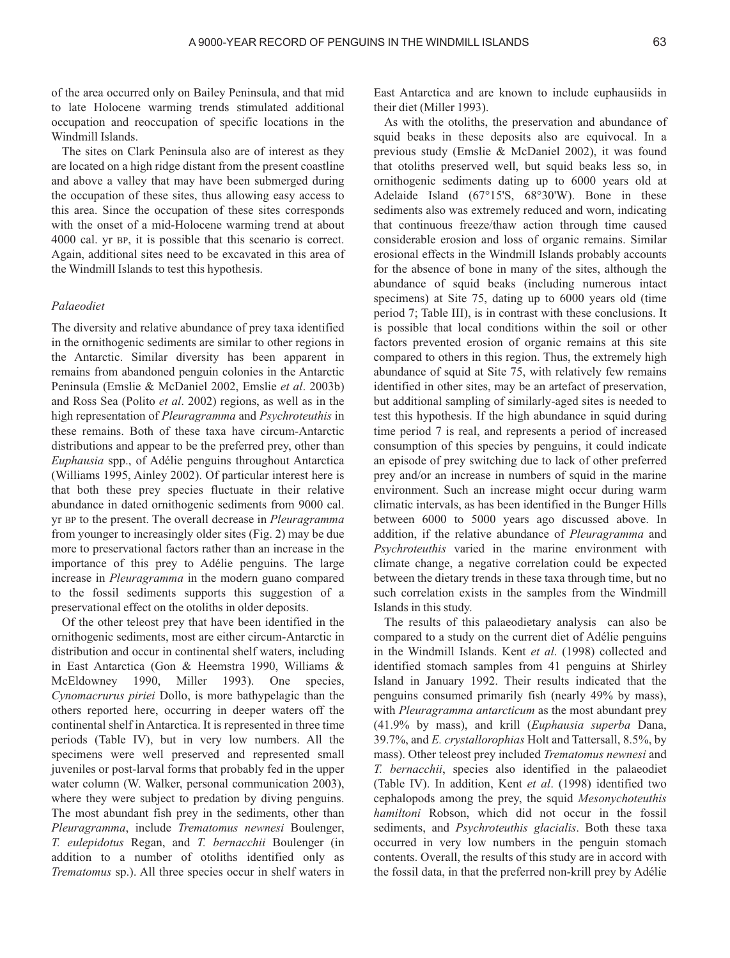of the area occurred only on Bailey Peninsula, and that mid to late Holocene warming trends stimulated additional occupation and reoccupation of specific locations in the Windmill Islands.

The sites on Clark Peninsula also are of interest as they are located on a high ridge distant from the present coastline and above a valley that may have been submerged during the occupation of these sites, thus allowing easy access to this area. Since the occupation of these sites corresponds with the onset of a mid-Holocene warming trend at about 4000 cal. yr BP, it is possible that this scenario is correct. Again, additional sites need to be excavated in this area of the Windmill Islands to test this hypothesis.

# *Palaeodiet*

The diversity and relative abundance of prey taxa identified in the ornithogenic sediments are similar to other regions in the Antarctic. Similar diversity has been apparent in remains from abandoned penguin colonies in the Antarctic Peninsula (Emslie & McDaniel 2002, Emslie *et al*. 2003b) and Ross Sea (Polito *et al*. 2002) regions, as well as in the high representation of *Pleuragramma* and *Psychroteuthis* in these remains. Both of these taxa have circum-Antarctic distributions and appear to be the preferred prey, other than *Euphausia* spp., of Adélie penguins throughout Antarctica (Williams 1995, Ainley 2002). Of particular interest here is that both these prey species fluctuate in their relative abundance in dated ornithogenic sediments from 9000 cal. yr BP to the present. The overall decrease in *Pleuragramma* from younger to increasingly older sites (Fig. 2) may be due more to preservational factors rather than an increase in the importance of this prey to Adélie penguins. The large increase in *Pleuragramma* in the modern guano compared to the fossil sediments supports this suggestion of a preservational effect on the otoliths in older deposits.

Of the other teleost prey that have been identified in the ornithogenic sediments, most are either circum-Antarctic in distribution and occur in continental shelf waters, including in East Antarctica (Gon & Heemstra 1990, Williams & McEldowney 1990, Miller 1993). One species, *Cynomacrurus piriei* Dollo, is more bathypelagic than the others reported here, occurring in deeper waters off the continental shelf in Antarctica. It is represented in three time periods (Table IV), but in very low numbers. All the specimens were well preserved and represented small juveniles or post-larval forms that probably fed in the upper water column (W. Walker, personal communication 2003), where they were subject to predation by diving penguins. The most abundant fish prey in the sediments, other than *Pleuragramma*, include *Trematomus newnesi* Boulenger, *T. eulepidotus* Regan, and *T. bernacchii* Boulenger (in addition to a number of otoliths identified only as *Trematomus* sp.). All three species occur in shelf waters in

East Antarctica and are known to include euphausiids in their diet (Miller 1993).

As with the otoliths, the preservation and abundance of squid beaks in these deposits also are equivocal. In a previous study (Emslie & McDaniel 2002), it was found that otoliths preserved well, but squid beaks less so, in ornithogenic sediments dating up to 6000 years old at Adelaide Island (67°15'S, 68°30'W). Bone in these sediments also was extremely reduced and worn, indicating that continuous freeze/thaw action through time caused considerable erosion and loss of organic remains. Similar erosional effects in the Windmill Islands probably accounts for the absence of bone in many of the sites, although the abundance of squid beaks (including numerous intact specimens) at Site 75, dating up to 6000 years old (time period 7; Table III), is in contrast with these conclusions. It is possible that local conditions within the soil or other factors prevented erosion of organic remains at this site compared to others in this region. Thus, the extremely high abundance of squid at Site 75, with relatively few remains identified in other sites, may be an artefact of preservation, but additional sampling of similarly-aged sites is needed to test this hypothesis. If the high abundance in squid during time period 7 is real, and represents a period of increased consumption of this species by penguins, it could indicate an episode of prey switching due to lack of other preferred prey and/or an increase in numbers of squid in the marine environment. Such an increase might occur during warm climatic intervals, as has been identified in the Bunger Hills between 6000 to 5000 years ago discussed above. In addition, if the relative abundance of *Pleuragramma* and *Psychroteuthis* varied in the marine environment with climate change, a negative correlation could be expected between the dietary trends in these taxa through time, but no such correlation exists in the samples from the Windmill Islands in this study.

The results of this palaeodietary analysis can also be compared to a study on the current diet of Adélie penguins in the Windmill Islands. Kent *et al*. (1998) collected and identified stomach samples from 41 penguins at Shirley Island in January 1992. Their results indicated that the penguins consumed primarily fish (nearly 49% by mass), with *Pleuragramma antarcticum* as the most abundant prey (41.9% by mass), and krill (*Euphausia superba* Dana, 39.7%, and *E. crystallorophias* Holt and Tattersall, 8.5%, by mass). Other teleost prey included *Trematomus newnesi* and *T. bernacchii*, species also identified in the palaeodiet (Table IV). In addition, Kent *et al*. (1998) identified two cephalopods among the prey, the squid *Mesonychoteuthis hamiltoni* Robson, which did not occur in the fossil sediments, and *Psychroteuthis glacialis*. Both these taxa occurred in very low numbers in the penguin stomach contents. Overall, the results of this study are in accord with the fossil data, in that the preferred non-krill prey by Adélie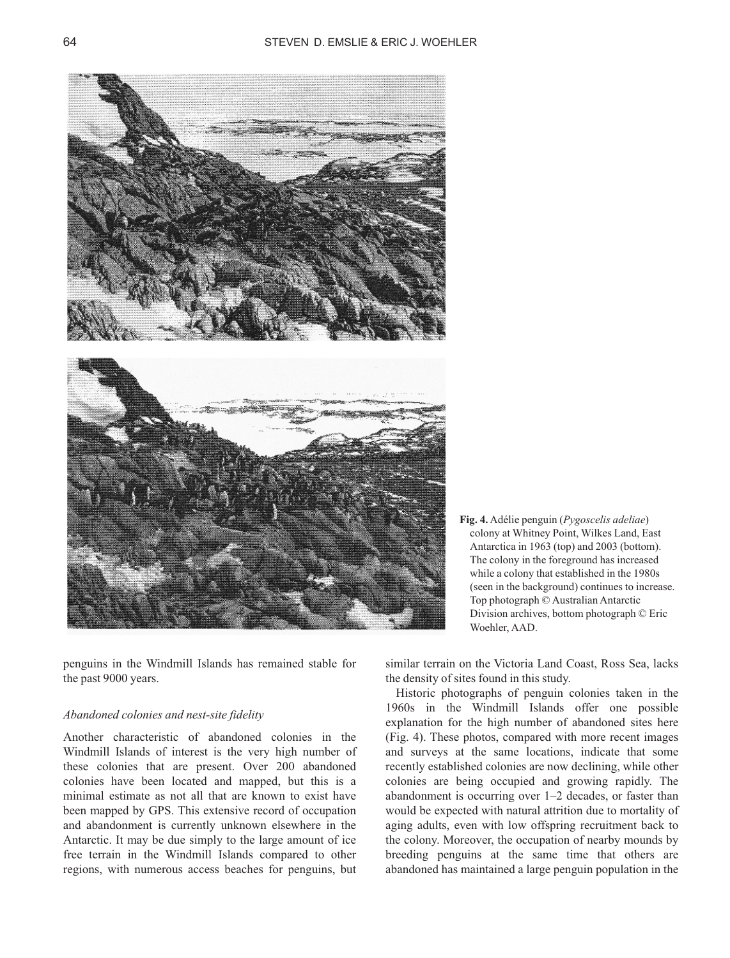

penguins in the Windmill Islands has remained stable for the past 9000 years.

# *Abandoned colonies and nest-site fidelity*

Another characteristic of abandoned colonies in the Windmill Islands of interest is the very high number of these colonies that are present. Over 200 abandoned colonies have been located and mapped, but this is a minimal estimate as not all that are known to exist have been mapped by GPS. This extensive record of occupation and abandonment is currently unknown elsewhere in the Antarctic. It may be due simply to the large amount of ice free terrain in the Windmill Islands compared to other regions, with numerous access beaches for penguins, but

**Fig. 4.** Adélie penguin (*Pygoscelis adeliae*) colony at Whitney Point, Wilkes Land, East Antarctica in 1963 (top) and 2003 (bottom). The colony in the foreground has increased while a colony that established in the 1980s (seen in the background) continues to increase. Top photograph © Australian Antarctic Division archives, bottom photograph © Eric Woehler, AAD.

similar terrain on the Victoria Land Coast, Ross Sea, lacks the density of sites found in this study.

Historic photographs of penguin colonies taken in the 1960s in the Windmill Islands offer one possible explanation for the high number of abandoned sites here (Fig. 4). These photos, compared with more recent images and surveys at the same locations, indicate that some recently established colonies are now declining, while other colonies are being occupied and growing rapidly. The abandonment is occurring over 1–2 decades, or faster than would be expected with natural attrition due to mortality of aging adults, even with low offspring recruitment back to the colony. Moreover, the occupation of nearby mounds by breeding penguins at the same time that others are abandoned has maintained a large penguin population in the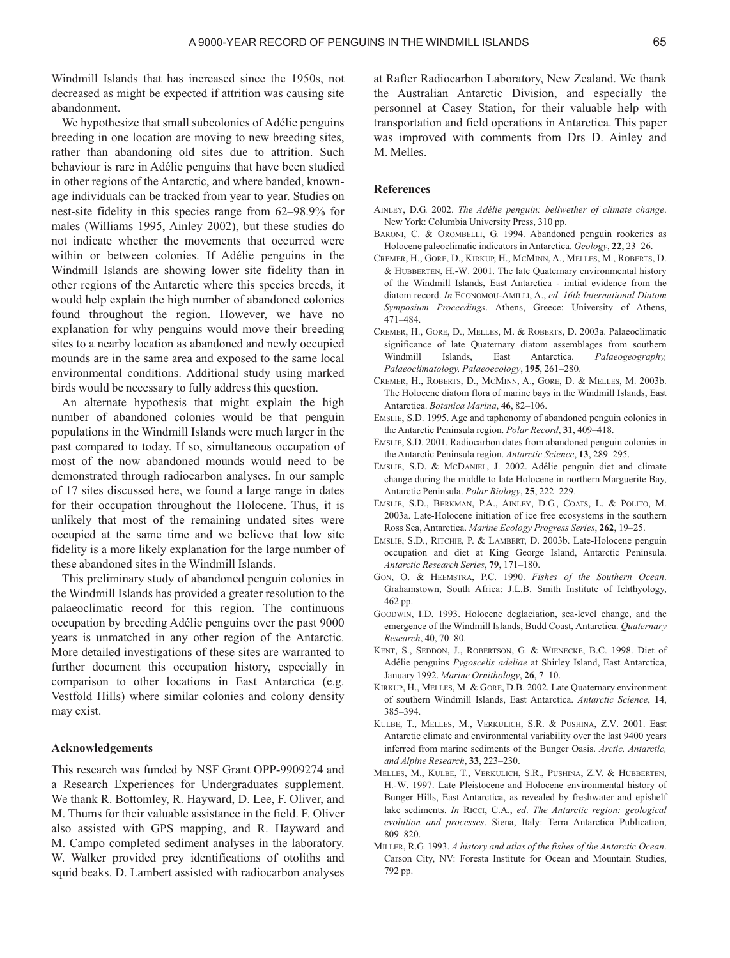Windmill Islands that has increased since the 1950s, not decreased as might be expected if attrition was causing site abandonment.

We hypothesize that small subcolonies of Adélie penguins breeding in one location are moving to new breeding sites, rather than abandoning old sites due to attrition. Such behaviour is rare in Adélie penguins that have been studied in other regions of the Antarctic, and where banded, knownage individuals can be tracked from year to year. Studies on nest-site fidelity in this species range from 62–98.9% for males (Williams 1995, Ainley 2002), but these studies do not indicate whether the movements that occurred were within or between colonies. If Adélie penguins in the Windmill Islands are showing lower site fidelity than in other regions of the Antarctic where this species breeds, it would help explain the high number of abandoned colonies found throughout the region. However, we have no explanation for why penguins would move their breeding sites to a nearby location as abandoned and newly occupied mounds are in the same area and exposed to the same local environmental conditions. Additional study using marked birds would be necessary to fully address this question.

An alternate hypothesis that might explain the high number of abandoned colonies would be that penguin populations in the Windmill Islands were much larger in the past compared to today. If so, simultaneous occupation of most of the now abandoned mounds would need to be demonstrated through radiocarbon analyses. In our sample of 17 sites discussed here, we found a large range in dates for their occupation throughout the Holocene. Thus, it is unlikely that most of the remaining undated sites were occupied at the same time and we believe that low site fidelity is a more likely explanation for the large number of these abandoned sites in the Windmill Islands.

This preliminary study of abandoned penguin colonies in the Windmill Islands has provided a greater resolution to the palaeoclimatic record for this region. The continuous occupation by breeding Adélie penguins over the past 9000 years is unmatched in any other region of the Antarctic. More detailed investigations of these sites are warranted to further document this occupation history, especially in comparison to other locations in East Antarctica (e.g. Vestfold Hills) where similar colonies and colony density may exist.

#### **Acknowledgements**

This research was funded by NSF Grant OPP-9909274 and a Research Experiences for Undergraduates supplement. We thank R. Bottomley, R. Hayward, D. Lee, F. Oliver, and M. Thums for their valuable assistance in the field. F. Oliver also assisted with GPS mapping, and R. Hayward and M. Campo completed sediment analyses in the laboratory. W. Walker provided prey identifications of otoliths and squid beaks. D. Lambert assisted with radiocarbon analyses

at Rafter Radiocarbon Laboratory, New Zealand. We thank the Australian Antarctic Division, and especially the personnel at Casey Station, for their valuable help with transportation and field operations in Antarctica. This paper was improved with comments from Drs D. Ainley and M. Melles.

# **References**

- AINLEY, D.G. 2002. *The Adélie penguin: bellwether of climate change*. New York: Columbia University Press, 310 pp.
- BARONI, C. & OROMBELLI, G. 1994. Abandoned penguin rookeries as Holocene paleoclimatic indicators in Antarctica. *Geology*, **22**, 23–26.
- CREMER, H., GORE, D., KIRKUP, H., MCMINN, A., MELLES, M., ROBERTS, D. & HUBBERTEN, H.-W. 2001. The late Quaternary environmental history of the Windmill Islands, East Antarctica - initial evidence from the diatom record. *In* ECONOMOU-AMILLI, A., *ed*. *16th International Diatom Symposium Proceedings*. Athens, Greece: University of Athens, 471–484.
- CREMER, H., GORE, D., MELLES, M. & ROBERTS, D. 2003a. Palaeoclimatic significance of late Quaternary diatom assemblages from southern Windmill Islands, East Antarctica. *Palaeogeography, Palaeoclimatology, Palaeoecology*, **195**, 261–280.
- CREMER, H., ROBERTS, D., MCMINN, A., GORE, D. & MELLES, M. 2003b. The Holocene diatom flora of marine bays in the Windmill Islands, East Antarctica. *Botanica Marina*, **46**, 82–106.
- EMSLIE, S.D. 1995. Age and taphonomy of abandoned penguin colonies in the Antarctic Peninsula region. *Polar Record*, **31**, 409–418.
- EMSLIE, S.D. 2001. Radiocarbon dates from abandoned penguin colonies in the Antarctic Peninsula region. *Antarctic Science*, **13**, 289–295.
- EMSLIE, S.D. & MCDANIEL, J. 2002. Adélie penguin diet and climate change during the middle to late Holocene in northern Marguerite Bay, Antarctic Peninsula. *Polar Biology*, **25**, 222–229.
- EMSLIE, S.D., BERKMAN, P.A., AINLEY, D.G., COATS, L. & POLITO, M. 2003a. Late-Holocene initiation of ice free ecosystems in the southern Ross Sea, Antarctica. *Marine Ecology Progress Series*, **262**, 19–25.
- EMSLIE, S.D., RITCHIE, P. & LAMBERT, D. 2003b. Late-Holocene penguin occupation and diet at King George Island, Antarctic Peninsula. *Antarctic Research Series*, **79**, 171–180.
- GON, O. & HEEMSTRA, P.C. 1990. *Fishes of the Southern Ocean*. Grahamstown, South Africa: J.L.B. Smith Institute of Ichthyology, 462 pp.
- GOODWIN, I.D. 1993. Holocene deglaciation, sea-level change, and the emergence of the Windmill Islands, Budd Coast, Antarctica. *Quaternary Research*, **40**, 70–80.
- KENT, S., SEDDON, J., ROBERTSON, G. & WIENECKE, B.C. 1998. Diet of Adélie penguins *Pygoscelis adeliae* at Shirley Island, East Antarctica, January 1992. *Marine Ornithology*, **26**, 7–10.
- KIRKUP, H., MELLES, M. & GORE, D.B. 2002. Late Quaternary environment of southern Windmill Islands, East Antarctica. *Antarctic Science*, **14**, 385–394.
- KULBE, T., MELLES, M., VERKULICH, S.R. & PUSHINA, Z.V. 2001. East Antarctic climate and environmental variability over the last 9400 years inferred from marine sediments of the Bunger Oasis. *Arctic, Antarctic, and Alpine Research*, **33**, 223–230.
- MELLES, M., KULBE, T., VERKULICH, S.R., PUSHINA, Z.V. & HUBBERTEN, H.-W. 1997. Late Pleistocene and Holocene environmental history of Bunger Hills, East Antarctica, as revealed by freshwater and epishelf lake sediments. *In* RICCI, C.A., *ed*. *The Antarctic region: geological evolution and processes*. Siena, Italy: Terra Antarctica Publication, 809–820.
- MILLER, R.G. 1993. *A history and atlas of the fishes of the Antarctic Ocean*. Carson City, NV: Foresta Institute for Ocean and Mountain Studies, 792 pp.